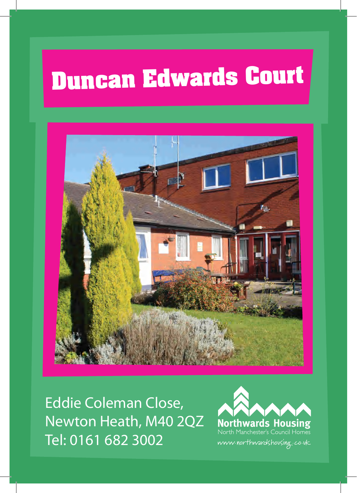# **Duncan Edwards Court**



Eddie Coleman Close, Newton Heath, M40 2QZ Tel: 0161 682 3002

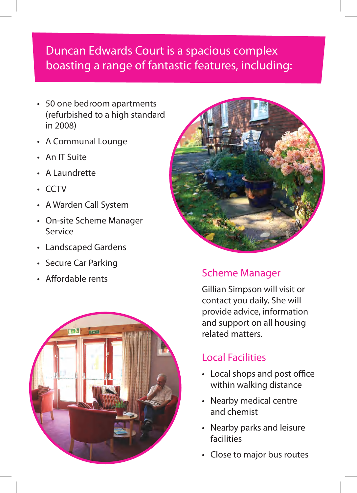## Duncan Edwards Court is a spacious complex boasting a range of fantastic features, including:

- 50 one bedroom apartments (refurbished to a high standard in 2008)
- • A Communal Lounge
- • An IT Suite
- • A Laundrette
- • CCTV
- • A Warden Call System
- • On-site Scheme Manager Service
- • Landscaped Gardens
- • Secure Car Parking
- Affordable rents





### Scheme Manager

Gillian Simpson will visit or contact you daily. She will provide advice, information and support on all housing related matters.

### Local Facilities

- • Local shops and post office within walking distance
- • Nearby medical centre and chemist
- Nearby parks and leisure facilities
- Close to major bus routes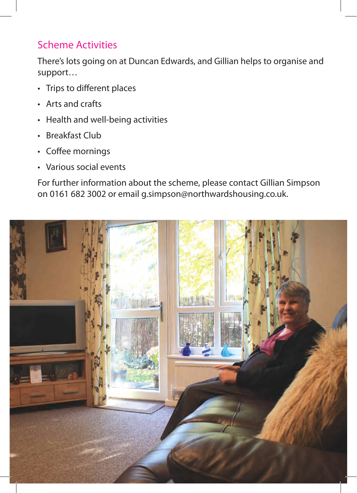#### Scheme Activities

There's lots going on at Duncan Edwards, and Gillian helps to organise and support…

- • Trips to different places
- • Arts and crafts
- Health and well-being activities
- Breakfast Club
- Coffee mornings
- • Various social events

For further information about the scheme, please contact Gillian Simpson on 0161 682 3002 or email g.simpson@northwardshousing.co.uk.